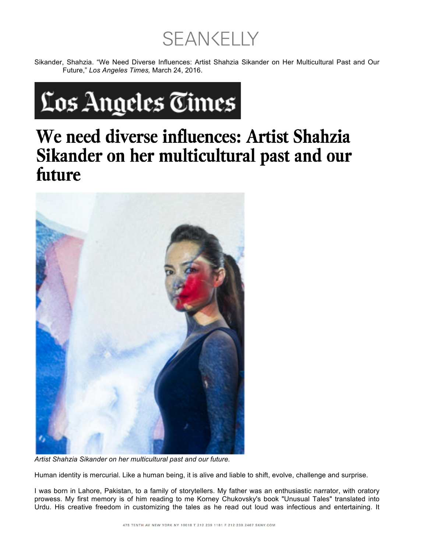**SEAN CELLY** 

Sikander, Shahzia. "We Need Diverse Influences: Artist Shahzia Sikander on Her Multicultural Past and Our Future," *Los Angeles Times,* March 24, 2016.



## We need diverse influences: Artist Shahzia Sikander on her multicultural past and our future



*Artist Shahzia Sikander on her multicultural past and our future.*

Human identity is mercurial. Like a human being, it is alive and liable to shift, evolve, challenge and surprise.

I was born in Lahore, Pakistan, to a family of storytellers. My father was an enthusiastic narrator, with oratory prowess. My first memory is of him reading to me Korney Chukovsky's book "Unusual Tales" translated into Urdu. His creative freedom in customizing the tales as he read out loud was infectious and entertaining. It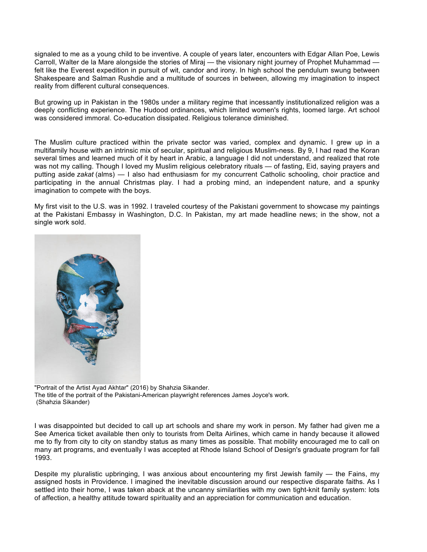signaled to me as a young child to be inventive. A couple of years later, encounters with Edgar Allan Poe, Lewis Carroll, Walter de la Mare alongside the stories of Miraj — the visionary night journey of Prophet Muhammad felt like the Everest expedition in pursuit of wit, candor and irony. In high school the pendulum swung between Shakespeare and Salman Rushdie and a multitude of sources in between, allowing my imagination to inspect reality from different cultural consequences.

But growing up in Pakistan in the 1980s under a military regime that incessantly institutionalized religion was a deeply conflicting experience. The Hudood ordinances, which limited women's rights, loomed large. Art school was considered immoral. Co-education dissipated. Religious tolerance diminished.

The Muslim culture practiced within the private sector was varied, complex and dynamic. I grew up in a multifamily house with an intrinsic mix of secular, spiritual and religious Muslim-ness. By 9, I had read the Koran several times and learned much of it by heart in Arabic, a language I did not understand, and realized that rote was not my calling. Though I loved my Muslim religious celebratory rituals — of fasting, Eid, saying prayers and putting aside *zakat* (alms) — I also had enthusiasm for my concurrent Catholic schooling, choir practice and participating in the annual Christmas play. I had a probing mind, an independent nature, and a spunky imagination to compete with the boys.

My first visit to the U.S. was in 1992. I traveled courtesy of the Pakistani government to showcase my paintings at the Pakistani Embassy in Washington, D.C. In Pakistan, my art made headline news; in the show, not a single work sold.



"Portrait of the Artist Ayad Akhtar" (2016) by Shahzia Sikander. The title of the portrait of the Pakistani-American playwright references James Joyce's work. (Shahzia Sikander)

I was disappointed but decided to call up art schools and share my work in person. My father had given me a See America ticket available then only to tourists from Delta Airlines, which came in handy because it allowed me to fly from city to city on standby status as many times as possible. That mobility encouraged me to call on many art programs, and eventually I was accepted at Rhode Island School of Design's graduate program for fall 1993.

Despite my pluralistic upbringing, I was anxious about encountering my first Jewish family — the Fains, my assigned hosts in Providence. I imagined the inevitable discussion around our respective disparate faiths. As I settled into their home, I was taken aback at the uncanny similarities with my own tight-knit family system: lots of affection, a healthy attitude toward spirituality and an appreciation for communication and education.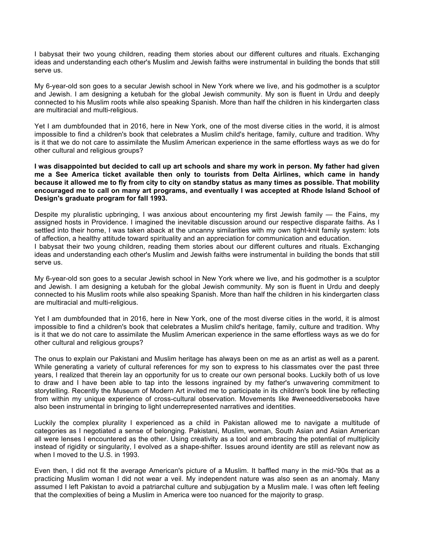I babysat their two young children, reading them stories about our different cultures and rituals. Exchanging ideas and understanding each other's Muslim and Jewish faiths were instrumental in building the bonds that still serve us.

My 6-year-old son goes to a secular Jewish school in New York where we live, and his godmother is a sculptor and Jewish. I am designing a ketubah for the global Jewish community. My son is fluent in Urdu and deeply connected to his Muslim roots while also speaking Spanish. More than half the children in his kindergarten class are multiracial and multi-religious.

Yet I am dumbfounded that in 2016, here in New York, one of the most diverse cities in the world, it is almost impossible to find a children's book that celebrates a Muslim child's heritage, family, culture and tradition. Why is it that we do not care to assimilate the Muslim American experience in the same effortless ways as we do for other cultural and religious groups?

**I was disappointed but decided to call up art schools and share my work in person. My father had given me a See America ticket available then only to tourists from Delta Airlines, which came in handy because it allowed me to fly from city to city on standby status as many times as possible. That mobility encouraged me to call on many art programs, and eventually I was accepted at Rhode Island School of Design's graduate program for fall 1993.**

Despite my pluralistic upbringing, I was anxious about encountering my first Jewish family - the Fains, my assigned hosts in Providence. I imagined the inevitable discussion around our respective disparate faiths. As I settled into their home, I was taken aback at the uncanny similarities with my own tight-knit family system: lots of affection, a healthy attitude toward spirituality and an appreciation for communication and education. I babysat their two young children, reading them stories about our different cultures and rituals. Exchanging

ideas and understanding each other's Muslim and Jewish faiths were instrumental in building the bonds that still serve us.

My 6-year-old son goes to a secular Jewish school in New York where we live, and his godmother is a sculptor and Jewish. I am designing a ketubah for the global Jewish community. My son is fluent in Urdu and deeply connected to his Muslim roots while also speaking Spanish. More than half the children in his kindergarten class are multiracial and multi-religious.

Yet I am dumbfounded that in 2016, here in New York, one of the most diverse cities in the world, it is almost impossible to find a children's book that celebrates a Muslim child's heritage, family, culture and tradition. Why is it that we do not care to assimilate the Muslim American experience in the same effortless ways as we do for other cultural and religious groups?

The onus to explain our Pakistani and Muslim heritage has always been on me as an artist as well as a parent. While generating a variety of cultural references for my son to express to his classmates over the past three years, I realized that therein lay an opportunity for us to create our own personal books. Luckily both of us love to draw and I have been able to tap into the lessons ingrained by my father's unwavering commitment to storytelling. Recently the Museum of Modern Art invited me to participate in its children's book line by reflecting from within my unique experience of cross-cultural observation. Movements like #weneeddiversebooks have also been instrumental in bringing to light underrepresented narratives and identities.

Luckily the complex plurality I experienced as a child in Pakistan allowed me to navigate a multitude of categories as I negotiated a sense of belonging. Pakistani, Muslim, woman, South Asian and Asian American all were lenses I encountered as the other. Using creativity as a tool and embracing the potential of multiplicity instead of rigidity or singularity, I evolved as a shape-shifter. Issues around identity are still as relevant now as when I moved to the U.S. in 1993.

Even then, I did not fit the average American's picture of a Muslim. It baffled many in the mid-'90s that as a practicing Muslim woman I did not wear a veil. My independent nature was also seen as an anomaly. Many assumed I left Pakistan to avoid a patriarchal culture and subjugation by a Muslim male. I was often left feeling that the complexities of being a Muslim in America were too nuanced for the majority to grasp.